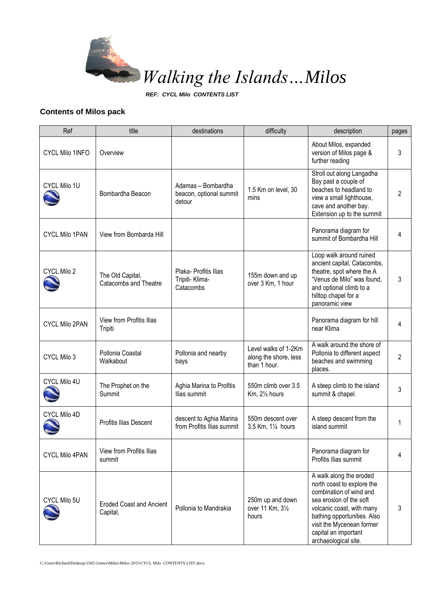

*REF: CYCL Milo CONTENTS LIST*

## **Contents of Milos pack**

| Ref                    | title                                       | destinations                                            | difficulty                                                    | description                                                                                                                                                                                                                                          | pages          |
|------------------------|---------------------------------------------|---------------------------------------------------------|---------------------------------------------------------------|------------------------------------------------------------------------------------------------------------------------------------------------------------------------------------------------------------------------------------------------------|----------------|
| <b>CYCL Milo 1INFO</b> | Overview                                    |                                                         |                                                               | About Milos, expanded<br>version of Milos page &<br>further reading                                                                                                                                                                                  | 3              |
| CYCL Milo 1U           | Bombardha Beacon                            | Adamas - Bombardha<br>beacon, optional summit<br>detour | 1.5 Km on level, 30<br>mins                                   | Stroll out along Langadha<br>Bay past a couple of<br>beaches to headland to<br>view a small lighthouse,<br>cave and another bay.<br>Extension up to the summit                                                                                       | 2              |
| <b>CYCL Milo 1PAN</b>  | View from Bombarda Hill                     |                                                         |                                                               | Panorama diagram for<br>summit of Bombardha Hill                                                                                                                                                                                                     | 4              |
| CYCL Milo 2            | The Old Capital,<br>Catacombs and Theatre   | Plaka- Profitis Ilias<br>Tripiti- Klima-<br>Catacombs   | 155m down and up<br>over 3 Km, 1 hour                         | Loop walk around ruined<br>ancient capital, Catacombs,<br>theatre, spot where the A<br>"Venus de Milo" was found,<br>and optional climb to a<br>hilltop chapel for a<br>panoramic view                                                               | 3              |
| <b>CYCL Milo 2PAN</b>  | View from Profitis Ilias<br>Tripiti         |                                                         |                                                               | Panorama diagram for hill<br>near Klima                                                                                                                                                                                                              | 4              |
| CYCL Milo 3            | Pollonia Coastal<br>Walkabout               | Pollonia and nearby<br>bays                             | Level walks of 1-2Km<br>along the shore, less<br>than 1 hour. | A walk around the shore of<br>Pollonia to different aspect<br>beaches and swimming<br>places.                                                                                                                                                        | $\overline{2}$ |
| CYCL Milo 4U           | The Prophet on the<br>Summit                | Aghia Marina to Profitis<br>Ilias summit                | 550m climb over 3.5<br>Km, 21/2 hours                         | A steep climb to the island<br>summit & chapel.                                                                                                                                                                                                      | 3              |
| CYCL Milo 4D           | Profitis Ilias Descent                      | descent to Aghia Marina<br>from Profitis Ilias summit   | 550m descent over<br>3.5 Km, 11/4 hours                       | A steep descent from the<br>island summit                                                                                                                                                                                                            | 1              |
| <b>CYCL Milo 4PAN</b>  | View from Profitis Ilias<br>summit          |                                                         |                                                               | Panorama diagram for<br>Profitis Ilias summit                                                                                                                                                                                                        | 4              |
| CYCL Milo 5U           | <b>Eroded Coast and Ancient</b><br>Capital, | Pollonia to Mandrakia                                   | 250m up and down<br>over 11 Km, 31/2<br>hours                 | A walk along the eroded<br>north coast to explore the<br>combination of wind and<br>sea erosion of the soft<br>volcanic coast, with many<br>bathing opportunities. Also<br>visit the Mycenean former<br>capital an important<br>archaeological site. | 3              |